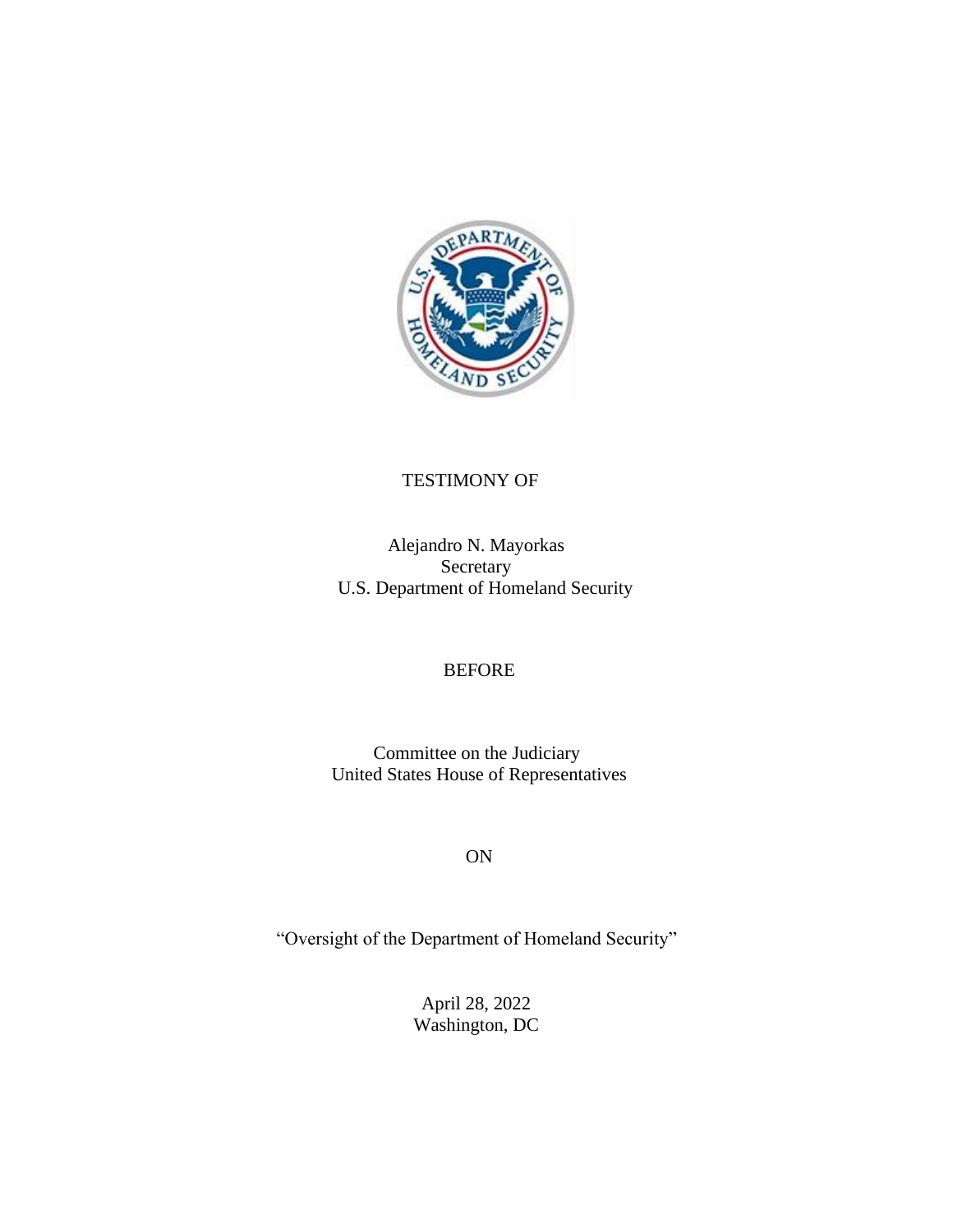

# TESTIMONY OF

Alejandro N. Mayorkas **Secretary** U.S. Department of Homeland Security

# BEFORE

Committee on the Judiciary United States House of Representatives

ON

"Oversight of the Department of Homeland Security"

April 28, 2022 Washington, DC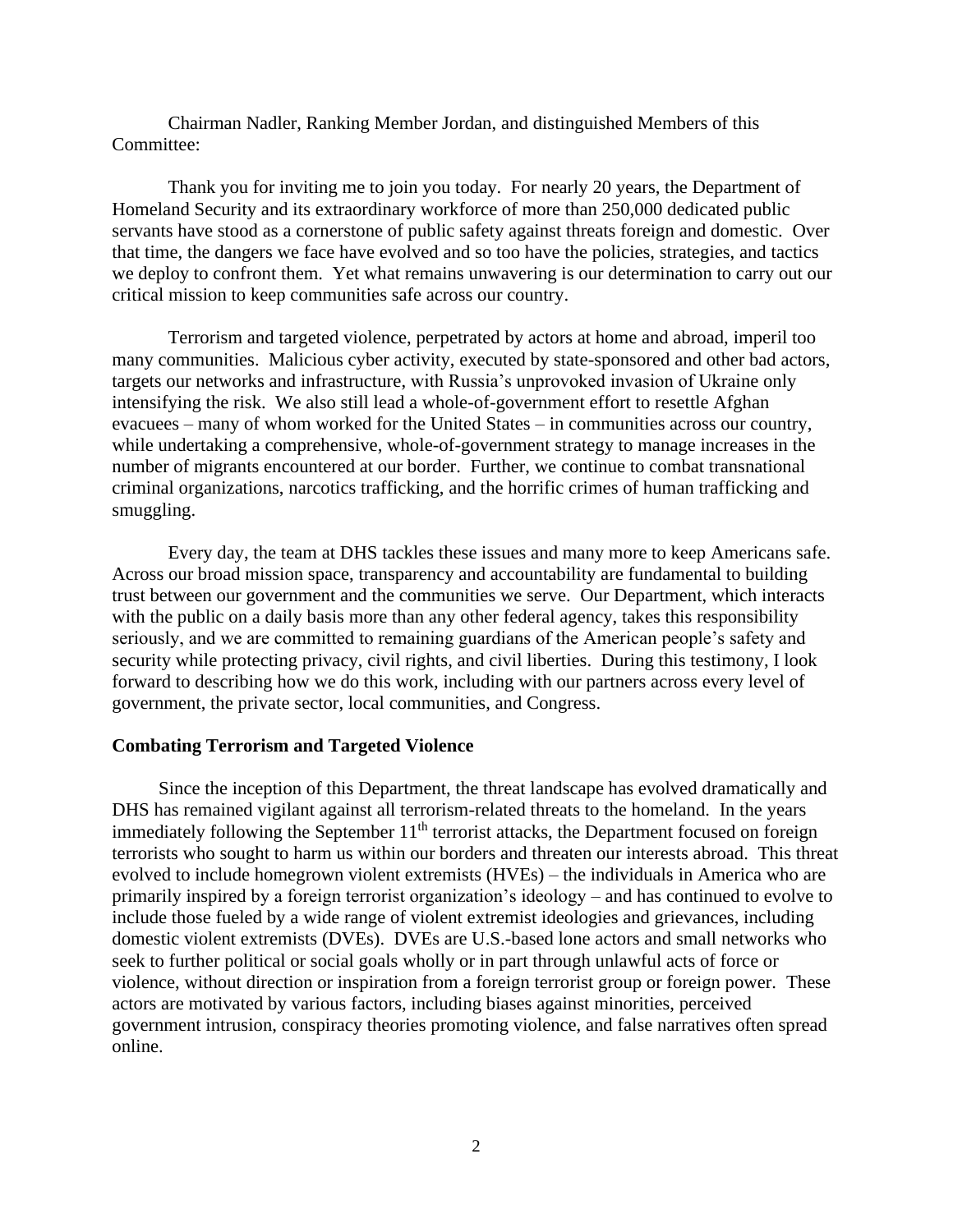Chairman Nadler, Ranking Member Jordan, and distinguished Members of this Committee:

Thank you for inviting me to join you today. For nearly 20 years, the Department of Homeland Security and its extraordinary workforce of more than 250,000 dedicated public servants have stood as a cornerstone of public safety against threats foreign and domestic. Over that time, the dangers we face have evolved and so too have the policies, strategies, and tactics we deploy to confront them. Yet what remains unwavering is our determination to carry out our critical mission to keep communities safe across our country.

Terrorism and targeted violence, perpetrated by actors at home and abroad, imperil too many communities. Malicious cyber activity, executed by state-sponsored and other bad actors, targets our networks and infrastructure, with Russia's unprovoked invasion of Ukraine only intensifying the risk. We also still lead a whole-of-government effort to resettle Afghan evacuees – many of whom worked for the United States – in communities across our country, while undertaking a comprehensive, whole-of-government strategy to manage increases in the number of migrants encountered at our border. Further, we continue to combat transnational criminal organizations, narcotics trafficking, and the horrific crimes of human trafficking and smuggling.

Every day, the team at DHS tackles these issues and many more to keep Americans safe. Across our broad mission space, transparency and accountability are fundamental to building trust between our government and the communities we serve. Our Department, which interacts with the public on a daily basis more than any other federal agency, takes this responsibility seriously, and we are committed to remaining guardians of the American people's safety and security while protecting privacy, civil rights, and civil liberties. During this testimony, I look forward to describing how we do this work, including with our partners across every level of government, the private sector, local communities, and Congress.

#### **Combating Terrorism and Targeted Violence**

Since the inception of this Department, the threat landscape has evolved dramatically and DHS has remained vigilant against all terrorism-related threats to the homeland. In the years immediately following the September  $11<sup>th</sup>$  terrorist attacks, the Department focused on foreign terrorists who sought to harm us within our borders and threaten our interests abroad. This threat evolved to include homegrown violent extremists (HVEs) – the individuals in America who are primarily inspired by a foreign terrorist organization's ideology – and has continued to evolve to include those fueled by a wide range of violent extremist ideologies and grievances, including domestic violent extremists (DVEs). DVEs are U.S.-based lone actors and small networks who seek to further political or social goals wholly or in part through unlawful acts of force or violence, without direction or inspiration from a foreign terrorist group or foreign power. These actors are motivated by various factors, including biases against minorities, perceived government intrusion, conspiracy theories promoting violence, and false narratives often spread online.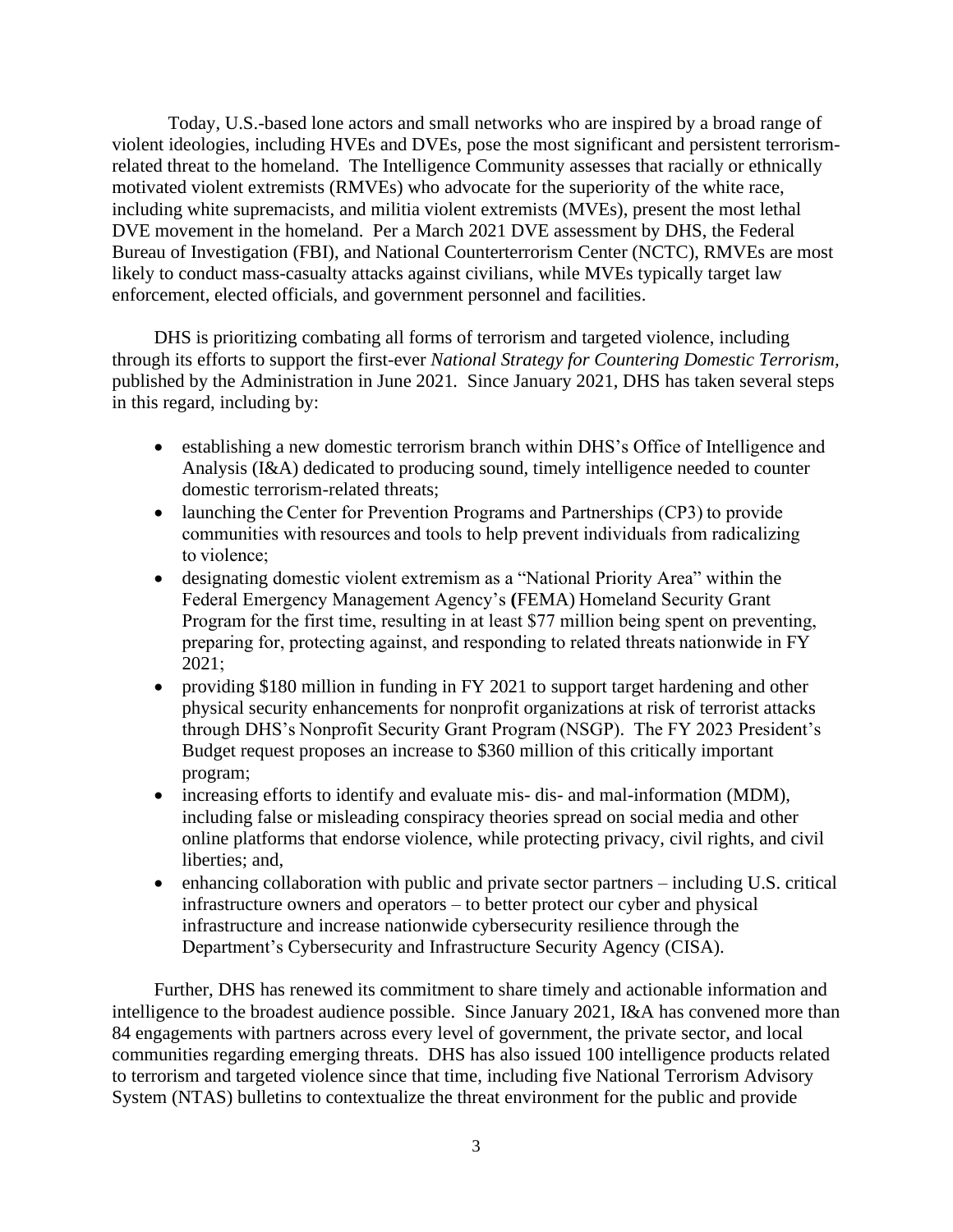Today, U.S.-based lone actors and small networks who are inspired by a broad range of violent ideologies, including HVEs and DVEs, pose the most significant and persistent terrorismrelated threat to the homeland. The Intelligence Community assesses that racially or ethnically motivated violent extremists (RMVEs) who advocate for the superiority of the white race, including white supremacists, and militia violent extremists (MVEs), present the most lethal DVE movement in the homeland. Per a March 2021 DVE assessment by DHS, the Federal Bureau of Investigation (FBI), and National Counterterrorism Center (NCTC), RMVEs are most likely to conduct mass-casualty attacks against civilians, while MVEs typically target law enforcement, elected officials, and government personnel and facilities.

DHS is prioritizing combating all forms of terrorism and targeted violence, including through its efforts to support the first-ever *National Strategy for Countering Domestic Terrorism,*  published by the Administration in June 2021*.* Since January 2021, DHS has taken several steps in this regard, including by:

- establishing a new domestic terrorism branch within DHS's Office of Intelligence and Analysis (I&A) dedicated to producing sound, timely intelligence needed to counter domestic terrorism-related threats;
- launching the Center for Prevention Programs and Partnerships (CP3) to provide communities with resources and tools to help prevent individuals from radicalizing to violence;
- designating domestic violent extremism as a "National Priority Area" within the Federal Emergency Management Agency's **(**FEMA) Homeland Security Grant Program for the first time, resulting in at least \$77 million being spent on preventing, preparing for, protecting against, and responding to related threats nationwide in FY 2021;
- providing \$180 million in funding in FY 2021 to support target hardening and other physical security enhancements for nonprofit organizations at risk of terrorist attacks through DHS's Nonprofit Security Grant Program (NSGP). The FY 2023 President's Budget request proposes an increase to \$360 million of this critically important program;
- increasing efforts to identify and evaluate mis- dis- and mal-information (MDM), including false or misleading conspiracy theories spread on social media and other online platforms that endorse violence, while protecting privacy, civil rights, and civil liberties; and,
- enhancing collaboration with public and private sector partners including U.S. critical infrastructure owners and operators – to better protect our cyber and physical infrastructure and increase nationwide cybersecurity resilience through the Department's Cybersecurity and Infrastructure Security Agency (CISA).

Further, DHS has renewed its commitment to share timely and actionable information and intelligence to the broadest audience possible. Since January 2021, I&A has convened more than 84 engagements with partners across every level of government, the private sector, and local communities regarding emerging threats. DHS has also issued 100 intelligence products related to terrorism and targeted violence since that time, including five National Terrorism Advisory System (NTAS) bulletins to contextualize the threat environment for the public and provide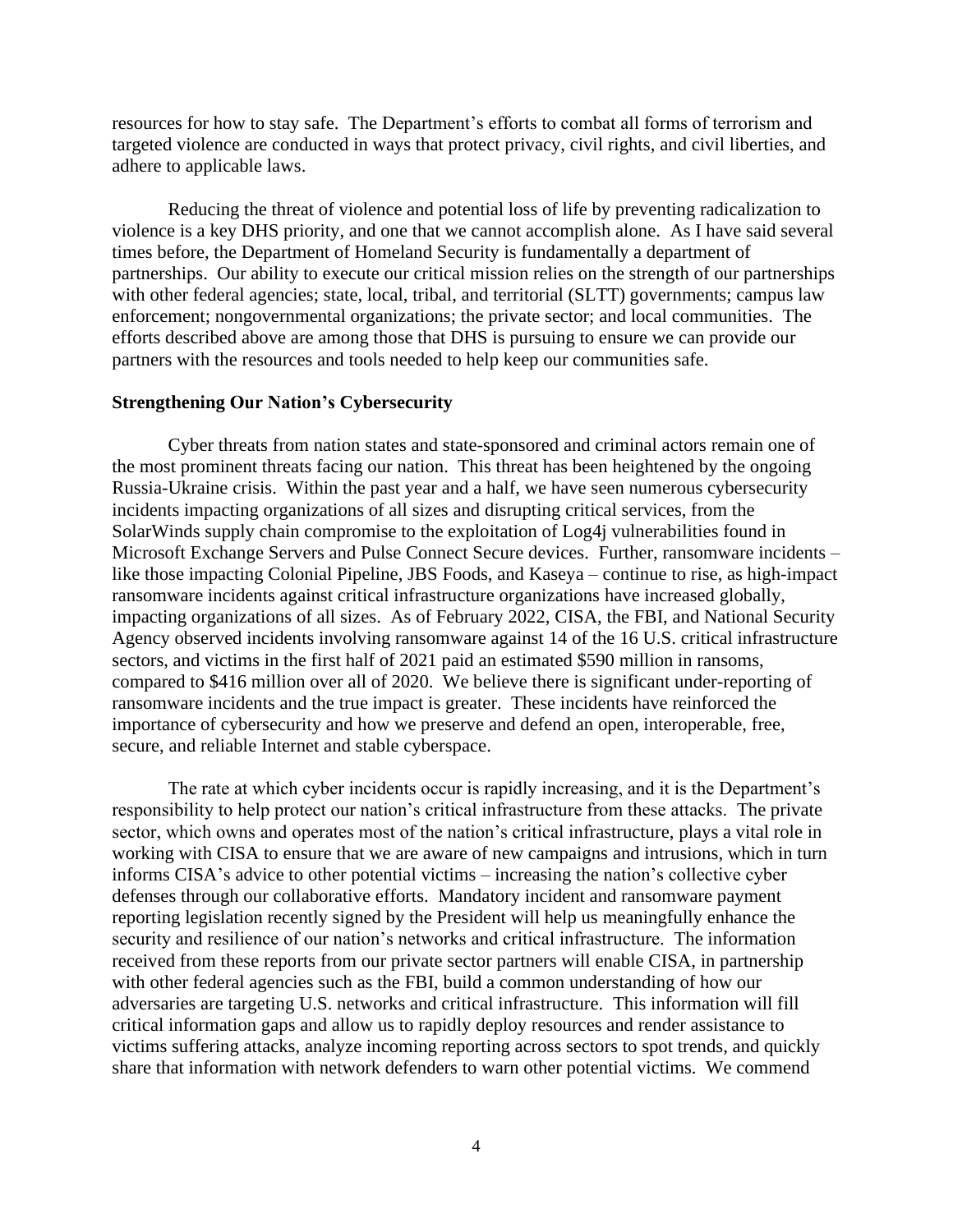resources for how to stay safe. The Department's efforts to combat all forms of terrorism and targeted violence are conducted in ways that protect privacy, civil rights, and civil liberties, and adhere to applicable laws.

Reducing the threat of violence and potential loss of life by preventing radicalization to violence is a key DHS priority, and one that we cannot accomplish alone. As I have said several times before, the Department of Homeland Security is fundamentally a department of partnerships. Our ability to execute our critical mission relies on the strength of our partnerships with other federal agencies; state, local, tribal, and territorial (SLTT) governments; campus law enforcement; nongovernmental organizations; the private sector; and local communities. The efforts described above are among those that DHS is pursuing to ensure we can provide our partners with the resources and tools needed to help keep our communities safe.

## **Strengthening Our Nation's Cybersecurity**

Cyber threats from nation states and state-sponsored and criminal actors remain one of the most prominent threats facing our nation. This threat has been heightened by the ongoing Russia-Ukraine crisis. Within the past year and a half, we have seen numerous cybersecurity incidents impacting organizations of all sizes and disrupting critical services, from the SolarWinds supply chain compromise to the exploitation of Log4j vulnerabilities found in Microsoft Exchange Servers and Pulse Connect Secure devices. Further, ransomware incidents – like those impacting Colonial Pipeline, JBS Foods, and Kaseya – continue to rise, as high-impact ransomware incidents against critical infrastructure organizations have increased globally, impacting organizations of all sizes. As of February 2022, CISA, the FBI, and National Security Agency observed incidents involving ransomware against 14 of the 16 U.S. critical infrastructure sectors, and victims in the first half of 2021 paid an estimated \$590 million in ransoms, compared to \$416 million over all of 2020. We believe there is significant under-reporting of ransomware incidents and the true impact is greater. These incidents have reinforced the importance of cybersecurity and how we preserve and defend an open, interoperable, free, secure, and reliable Internet and stable cyberspace.

The rate at which cyber incidents occur is rapidly increasing, and it is the Department's responsibility to help protect our nation's critical infrastructure from these attacks. The private sector, which owns and operates most of the nation's critical infrastructure, plays a vital role in working with CISA to ensure that we are aware of new campaigns and intrusions, which in turn informs CISA's advice to other potential victims – increasing the nation's collective cyber defenses through our collaborative efforts. Mandatory incident and ransomware payment reporting legislation recently signed by the President will help us meaningfully enhance the security and resilience of our nation's networks and critical infrastructure. The information received from these reports from our private sector partners will enable CISA, in partnership with other federal agencies such as the FBI, build a common understanding of how our adversaries are targeting U.S. networks and critical infrastructure. This information will fill critical information gaps and allow us to rapidly deploy resources and render assistance to victims suffering attacks, analyze incoming reporting across sectors to spot trends, and quickly share that information with network defenders to warn other potential victims. We commend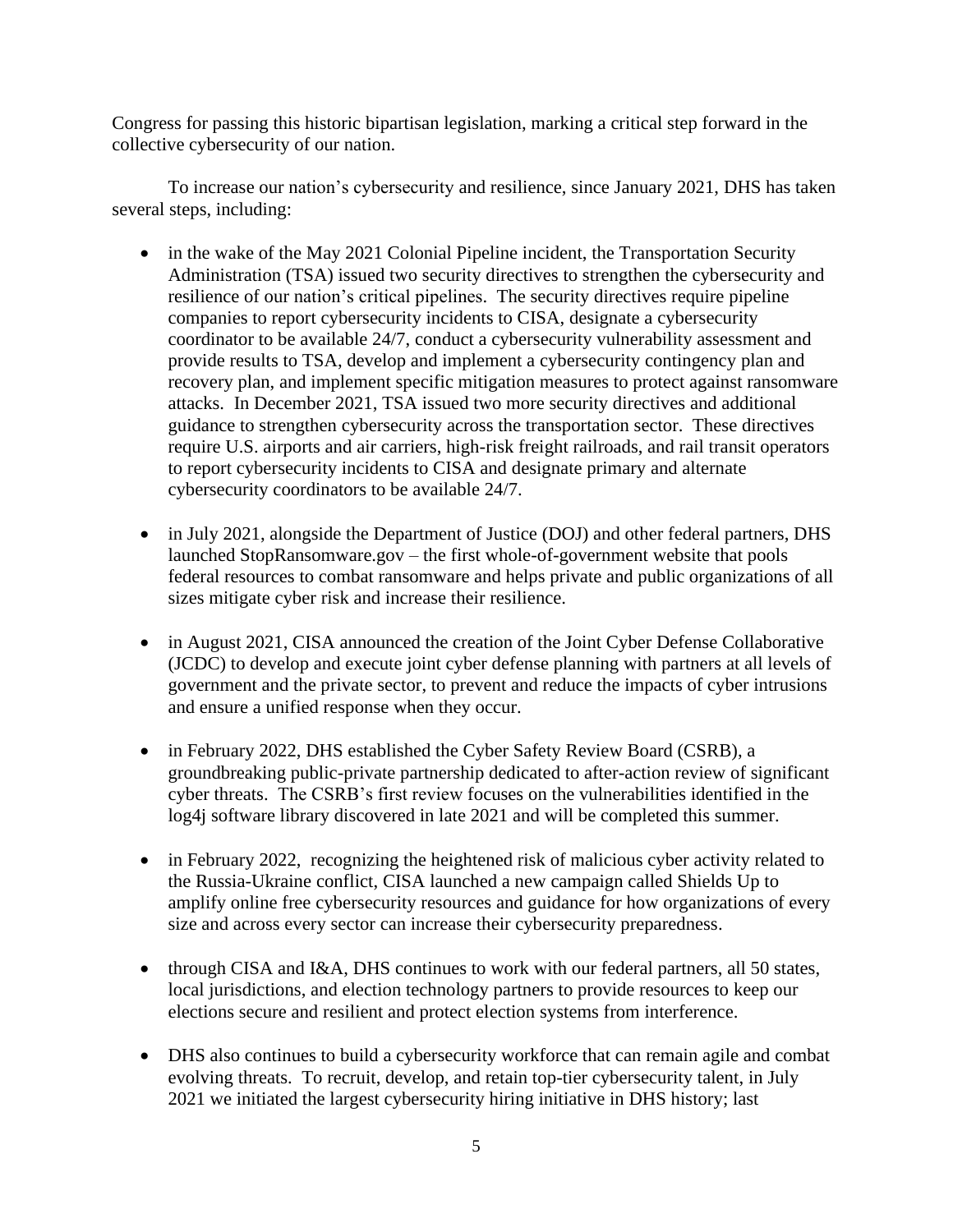Congress for passing this historic bipartisan legislation, marking a critical step forward in the collective cybersecurity of our nation.

To increase our nation's cybersecurity and resilience, since January 2021, DHS has taken several steps, including:

- in the wake of the May 2021 Colonial Pipeline incident, the Transportation Security Administration (TSA) issued two security directives to strengthen the cybersecurity and resilience of our nation's critical pipelines. The security directives require pipeline companies to report cybersecurity incidents to CISA, designate a cybersecurity coordinator to be available 24/7, conduct a cybersecurity vulnerability assessment and provide results to TSA, develop and implement a cybersecurity contingency plan and recovery plan, and implement specific mitigation measures to protect against ransomware attacks. In December 2021, TSA issued two more security directives and additional guidance to strengthen cybersecurity across the transportation sector. These directives require U.S. airports and air carriers, high-risk freight railroads, and rail transit operators to report cybersecurity incidents to CISA and designate primary and alternate cybersecurity coordinators to be available 24/7.
- in July 2021, alongside the Department of Justice (DOJ) and other federal partners, DHS launched StopRansomware.gov – the first whole-of-government website that pools federal resources to combat ransomware and helps private and public organizations of all sizes mitigate cyber risk and increase their resilience.
- in August 2021, CISA announced the creation of the Joint Cyber Defense Collaborative (JCDC) to develop and execute joint cyber defense planning with partners at all levels of government and the private sector, to prevent and reduce the impacts of cyber intrusions and ensure a unified response when they occur.
- in February 2022, DHS established the Cyber Safety Review Board (CSRB), a groundbreaking public-private partnership dedicated to after-action review of significant cyber threats. The CSRB's first review focuses on the vulnerabilities identified in the log4j software library discovered in late 2021 and will be completed this summer.
- in February 2022, recognizing the heightened risk of malicious cyber activity related to the Russia-Ukraine conflict, CISA launched a new campaign called Shields Up to amplify online free cybersecurity resources and guidance for how organizations of every size and across every sector can increase their cybersecurity preparedness.
- through CISA and I&A, DHS continues to work with our federal partners, all 50 states, local jurisdictions, and election technology partners to provide resources to keep our elections secure and resilient and protect election systems from interference.
- DHS also continues to build a cybersecurity workforce that can remain agile and combat evolving threats. To recruit, develop, and retain top-tier cybersecurity talent, in July 2021 we initiated the largest cybersecurity hiring initiative in DHS history; last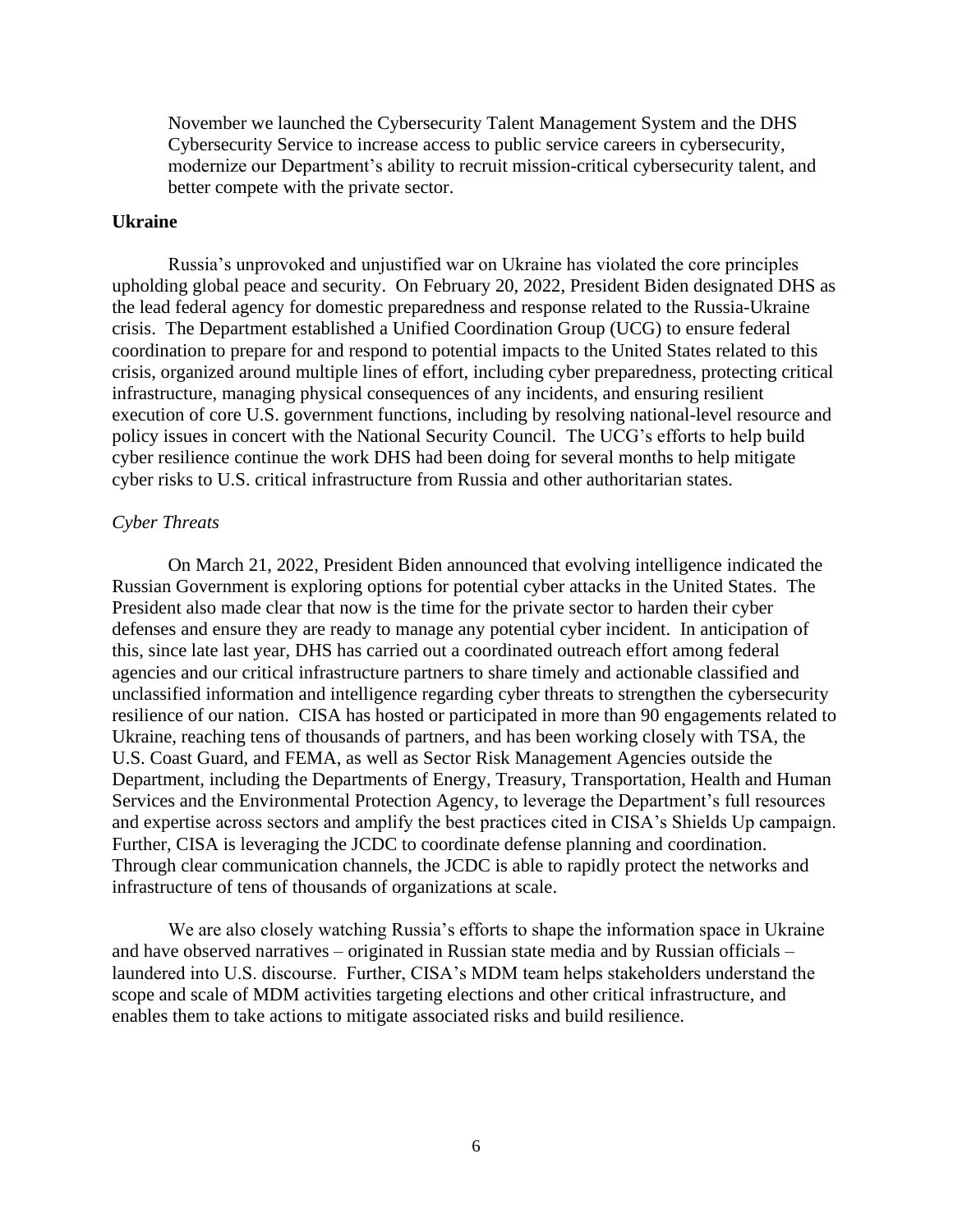November we launched the Cybersecurity Talent Management System and the DHS Cybersecurity Service to increase access to public service careers in cybersecurity, modernize our Department's ability to recruit mission-critical cybersecurity talent, and better compete with the private sector.

## **Ukraine**

Russia's unprovoked and unjustified war on Ukraine has violated the core principles upholding global peace and security. On February 20, 2022, President Biden designated DHS as the lead federal agency for domestic preparedness and response related to the Russia-Ukraine crisis. The Department established a Unified Coordination Group (UCG) to ensure federal coordination to prepare for and respond to potential impacts to the United States related to this crisis, organized around multiple lines of effort, including cyber preparedness, protecting critical infrastructure, managing physical consequences of any incidents, and ensuring resilient execution of core U.S. government functions, including by resolving national-level resource and policy issues in concert with the National Security Council. The UCG's efforts to help build cyber resilience continue the work DHS had been doing for several months to help mitigate cyber risks to U.S. critical infrastructure from Russia and other authoritarian states.

## *Cyber Threats*

On March 21, 2022, President Biden announced that evolving intelligence indicated the Russian Government is exploring options for potential cyber attacks in the United States. The President also made clear that now is the time for the private sector to harden their cyber defenses and ensure they are ready to manage any potential cyber incident. In anticipation of this, since late last year, DHS has carried out a coordinated outreach effort among federal agencies and our critical infrastructure partners to share timely and actionable classified and unclassified information and intelligence regarding cyber threats to strengthen the cybersecurity resilience of our nation. CISA has hosted or participated in more than 90 engagements related to Ukraine, reaching tens of thousands of partners, and has been working closely with TSA, the U.S. Coast Guard, and FEMA, as well as Sector Risk Management Agencies outside the Department, including the Departments of Energy, Treasury, Transportation, Health and Human Services and the Environmental Protection Agency, to leverage the Department's full resources and expertise across sectors and amplify the best practices cited in CISA's Shields Up campaign. Further, CISA is leveraging the JCDC to coordinate defense planning and coordination. Through clear communication channels, the JCDC is able to rapidly protect the networks and infrastructure of tens of thousands of organizations at scale.

We are also closely watching Russia's efforts to shape the information space in Ukraine and have observed narratives – originated in Russian state media and by Russian officials – laundered into U.S. discourse. Further, CISA's MDM team helps stakeholders understand the scope and scale of MDM activities targeting elections and other critical infrastructure, and enables them to take actions to mitigate associated risks and build resilience.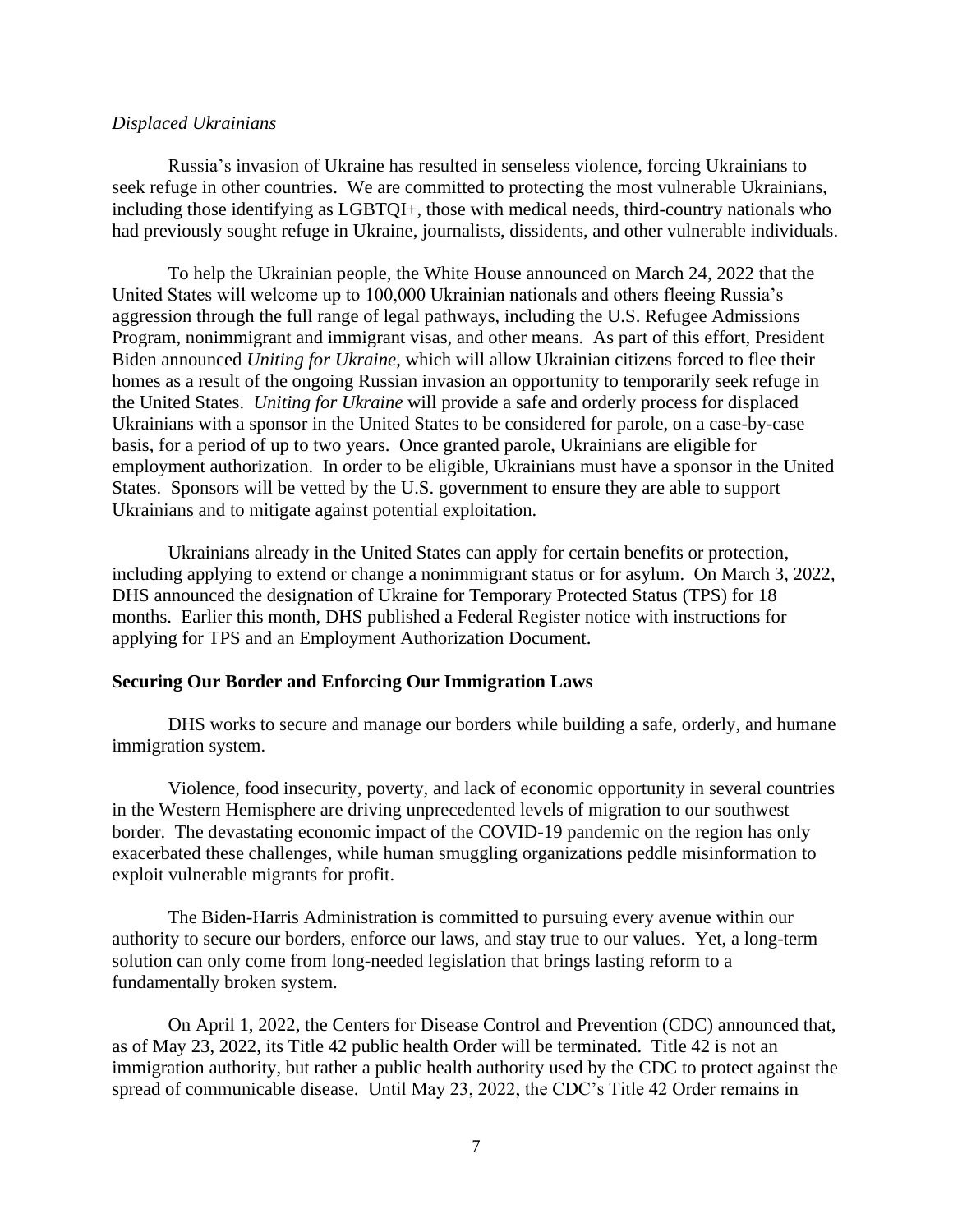### *Displaced Ukrainians*

Russia's invasion of Ukraine has resulted in senseless violence, forcing Ukrainians to seek refuge in other countries. We are committed to protecting the most vulnerable Ukrainians, including those identifying as LGBTQI+, those with medical needs, third-country nationals who had previously sought refuge in Ukraine, journalists, dissidents, and other vulnerable individuals.

To help the Ukrainian people, the White House announced on March 24, 2022 that the United States will welcome up to 100,000 Ukrainian nationals and others fleeing Russia's aggression through the full range of legal pathways, including the U.S. Refugee Admissions Program, nonimmigrant and immigrant visas, and other means. As part of this effort, President Biden announced *Uniting for Ukraine*, which will allow Ukrainian citizens forced to flee their homes as a result of the ongoing Russian invasion an opportunity to temporarily seek refuge in the United States. *Uniting for Ukraine* will provide a safe and orderly process for displaced Ukrainians with a sponsor in the United States to be considered for parole, on a case-by-case basis, for a period of up to two years. Once granted parole, Ukrainians are eligible for employment authorization. In order to be eligible, Ukrainians must have a sponsor in the United States. Sponsors will be vetted by the U.S. government to ensure they are able to support Ukrainians and to mitigate against potential exploitation.

Ukrainians already in the United States can apply for certain benefits or protection, including applying to extend or change a nonimmigrant status or for asylum. On March 3, 2022, DHS announced the designation of Ukraine for Temporary Protected Status (TPS) for 18 months. Earlier this month, DHS published a Federal Register notice with instructions for applying for TPS and an Employment Authorization Document.

## **Securing Our Border and Enforcing Our Immigration Laws**

DHS works to secure and manage our borders while building a safe, orderly, and humane immigration system.

Violence, food insecurity, poverty, and lack of economic opportunity in several countries in the Western Hemisphere are driving unprecedented levels of migration to our southwest border. The devastating economic impact of the COVID-19 pandemic on the region has only exacerbated these challenges, while human smuggling organizations peddle misinformation to exploit vulnerable migrants for profit.

The Biden-Harris Administration is committed to pursuing every avenue within our authority to secure our borders, enforce our laws, and stay true to our values. Yet, a long-term solution can only come from long-needed legislation that brings lasting reform to a fundamentally broken system.

On April 1, 2022, the Centers for Disease Control and Prevention (CDC) announced that, as of May 23, 2022, its Title 42 public health Order will be terminated. Title 42 is not an immigration authority, but rather a public health authority used by the CDC to protect against the spread of communicable disease. Until May 23, 2022, the CDC's Title 42 Order remains in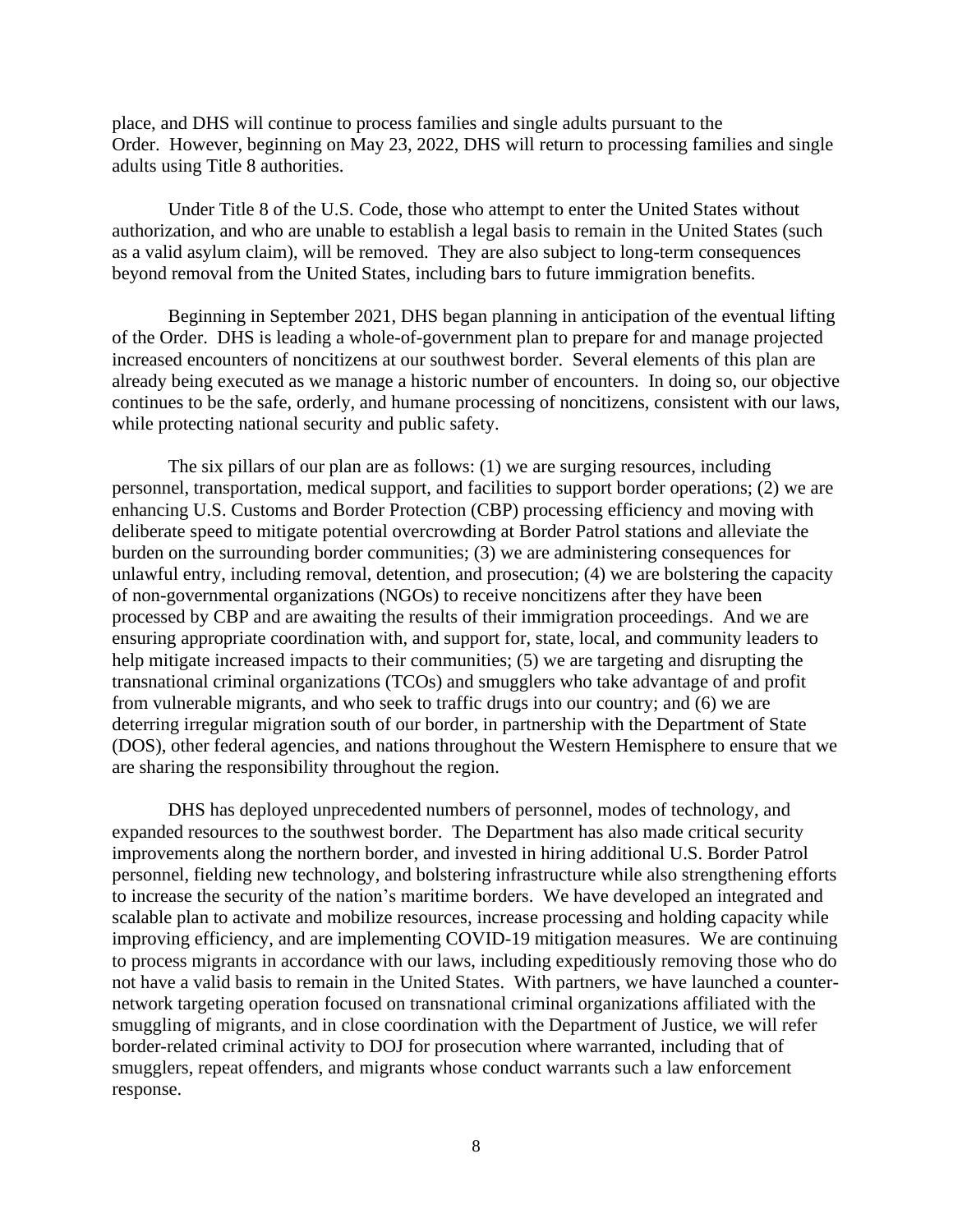place, and DHS will continue to process families and single adults pursuant to the Order. However, beginning on May 23, 2022, DHS will return to processing families and single adults using Title 8 authorities.

Under Title 8 of the U.S. Code, those who attempt to enter the United States without authorization, and who are unable to establish a legal basis to remain in the United States (such as a valid asylum claim), will be removed. They are also subject to long-term consequences beyond removal from the United States, including bars to future immigration benefits.

Beginning in September 2021, DHS began planning in anticipation of the eventual lifting of the Order. DHS is leading a whole-of-government plan to prepare for and manage projected increased encounters of noncitizens at our southwest border. Several elements of this plan are already being executed as we manage a historic number of encounters. In doing so, our objective continues to be the safe, orderly, and humane processing of noncitizens, consistent with our laws, while protecting national security and public safety.

The six pillars of our plan are as follows: (1) we are surging resources, including personnel, transportation, medical support, and facilities to support border operations; (2) we are enhancing U.S. Customs and Border Protection (CBP) processing efficiency and moving with deliberate speed to mitigate potential overcrowding at Border Patrol stations and alleviate the burden on the surrounding border communities; (3) we are administering consequences for unlawful entry, including removal, detention, and prosecution; (4) we are bolstering the capacity of non-governmental organizations (NGOs) to receive noncitizens after they have been processed by CBP and are awaiting the results of their immigration proceedings. And we are ensuring appropriate coordination with, and support for, state, local, and community leaders to help mitigate increased impacts to their communities; (5) we are targeting and disrupting the transnational criminal organizations (TCOs) and smugglers who take advantage of and profit from vulnerable migrants, and who seek to traffic drugs into our country; and (6) we are deterring irregular migration south of our border, in partnership with the Department of State (DOS), other federal agencies, and nations throughout the Western Hemisphere to ensure that we are sharing the responsibility throughout the region.

DHS has deployed unprecedented numbers of personnel, modes of technology, and expanded resources to the southwest border. The Department has also made critical security improvements along the northern border, and invested in hiring additional U.S. Border Patrol personnel, fielding new technology, and bolstering infrastructure while also strengthening efforts to increase the security of the nation's maritime borders. We have developed an integrated and scalable plan to activate and mobilize resources, increase processing and holding capacity while improving efficiency, and are implementing COVID-19 mitigation measures. We are continuing to process migrants in accordance with our laws, including expeditiously removing those who do not have a valid basis to remain in the United States. With partners, we have launched a counternetwork targeting operation focused on transnational criminal organizations affiliated with the smuggling of migrants, and in close coordination with the Department of Justice, we will refer border-related criminal activity to DOJ for prosecution where warranted, including that of smugglers, repeat offenders, and migrants whose conduct warrants such a law enforcement response.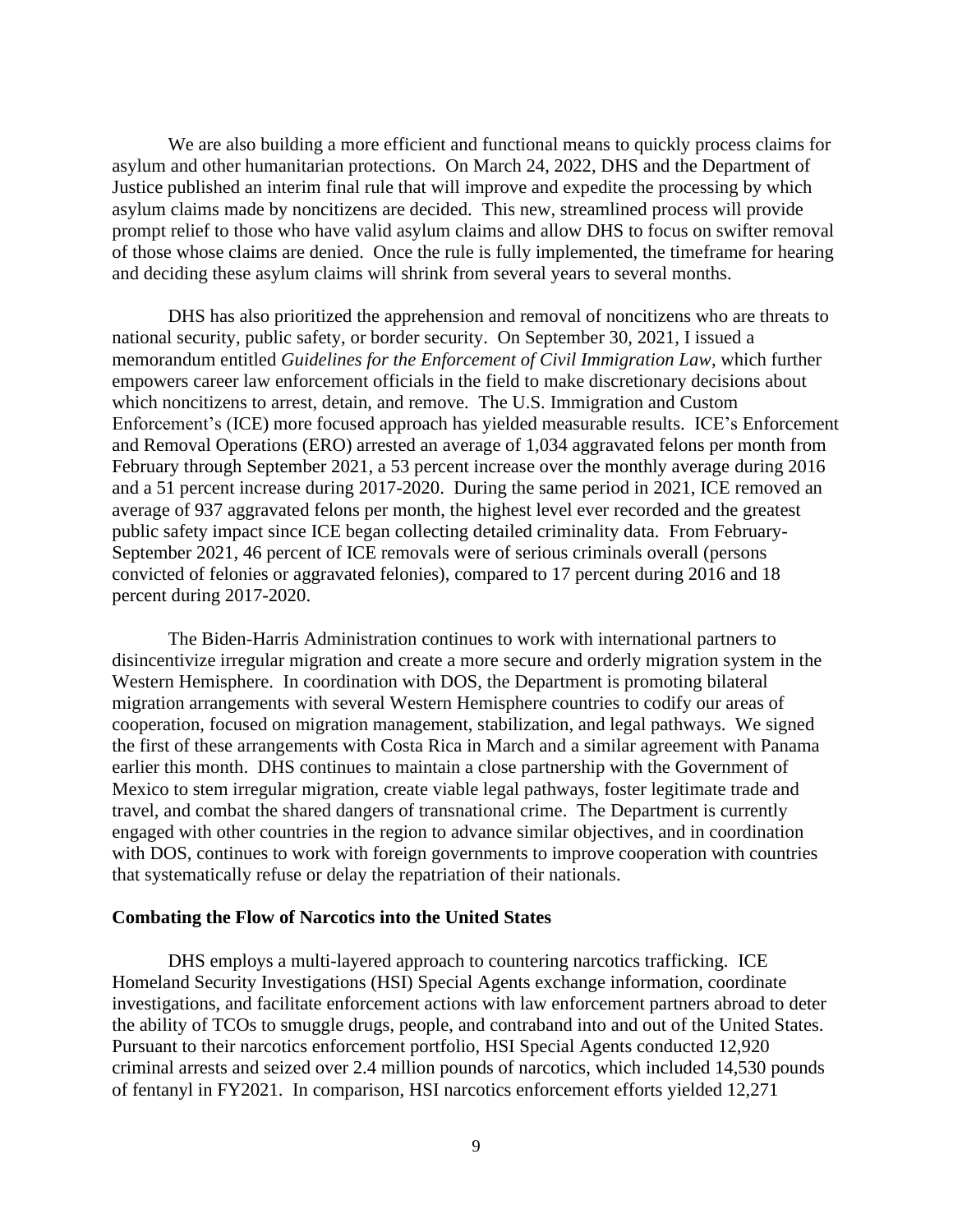We are also building a more efficient and functional means to quickly process claims for asylum and other humanitarian protections. On March 24, 2022, DHS and the Department of Justice published an interim final rule that will improve and expedite the processing by which asylum claims made by noncitizens are decided. This new, streamlined process will provide prompt relief to those who have valid asylum claims and allow DHS to focus on swifter removal of those whose claims are denied. Once the rule is fully implemented, the timeframe for hearing and deciding these asylum claims will shrink from several years to several months.

DHS has also prioritized the apprehension and removal of noncitizens who are threats to national security, public safety, or border security. On September 30, 2021, I issued a memorandum entitled *Guidelines for the Enforcement of Civil Immigration Law*, which further empowers career law enforcement officials in the field to make discretionary decisions about which noncitizens to arrest, detain, and remove. The U.S. Immigration and Custom Enforcement's (ICE) more focused approach has yielded measurable results. ICE's Enforcement and Removal Operations (ERO) arrested an average of 1,034 aggravated felons per month from February through September 2021, a 53 percent increase over the monthly average during 2016 and a 51 percent increase during 2017-2020. During the same period in 2021, ICE removed an average of 937 aggravated felons per month, the highest level ever recorded and the greatest public safety impact since ICE began collecting detailed criminality data. From February-September 2021, 46 percent of ICE removals were of serious criminals overall (persons convicted of felonies or aggravated felonies), compared to 17 percent during 2016 and 18 percent during 2017-2020.

The Biden-Harris Administration continues to work with international partners to disincentivize irregular migration and create a more secure and orderly migration system in the Western Hemisphere. In coordination with DOS, the Department is promoting bilateral migration arrangements with several Western Hemisphere countries to codify our areas of cooperation, focused on migration management, stabilization, and legal pathways. We signed the first of these arrangements with Costa Rica in March and a similar agreement with Panama earlier this month. DHS continues to maintain a close partnership with the Government of Mexico to stem irregular migration, create viable legal pathways, foster legitimate trade and travel, and combat the shared dangers of transnational crime. The Department is currently engaged with other countries in the region to advance similar objectives, and in coordination with DOS, continues to work with foreign governments to improve cooperation with countries that systematically refuse or delay the repatriation of their nationals.

#### **Combating the Flow of Narcotics into the United States**

DHS employs a multi-layered approach to countering narcotics trafficking. ICE Homeland Security Investigations (HSI) Special Agents exchange information, coordinate investigations, and facilitate enforcement actions with law enforcement partners abroad to deter the ability of TCOs to smuggle drugs, people, and contraband into and out of the United States. Pursuant to their narcotics enforcement portfolio, HSI Special Agents conducted 12,920 criminal arrests and seized over 2.4 million pounds of narcotics, which included 14,530 pounds of fentanyl in FY2021. In comparison, HSI narcotics enforcement efforts yielded 12,271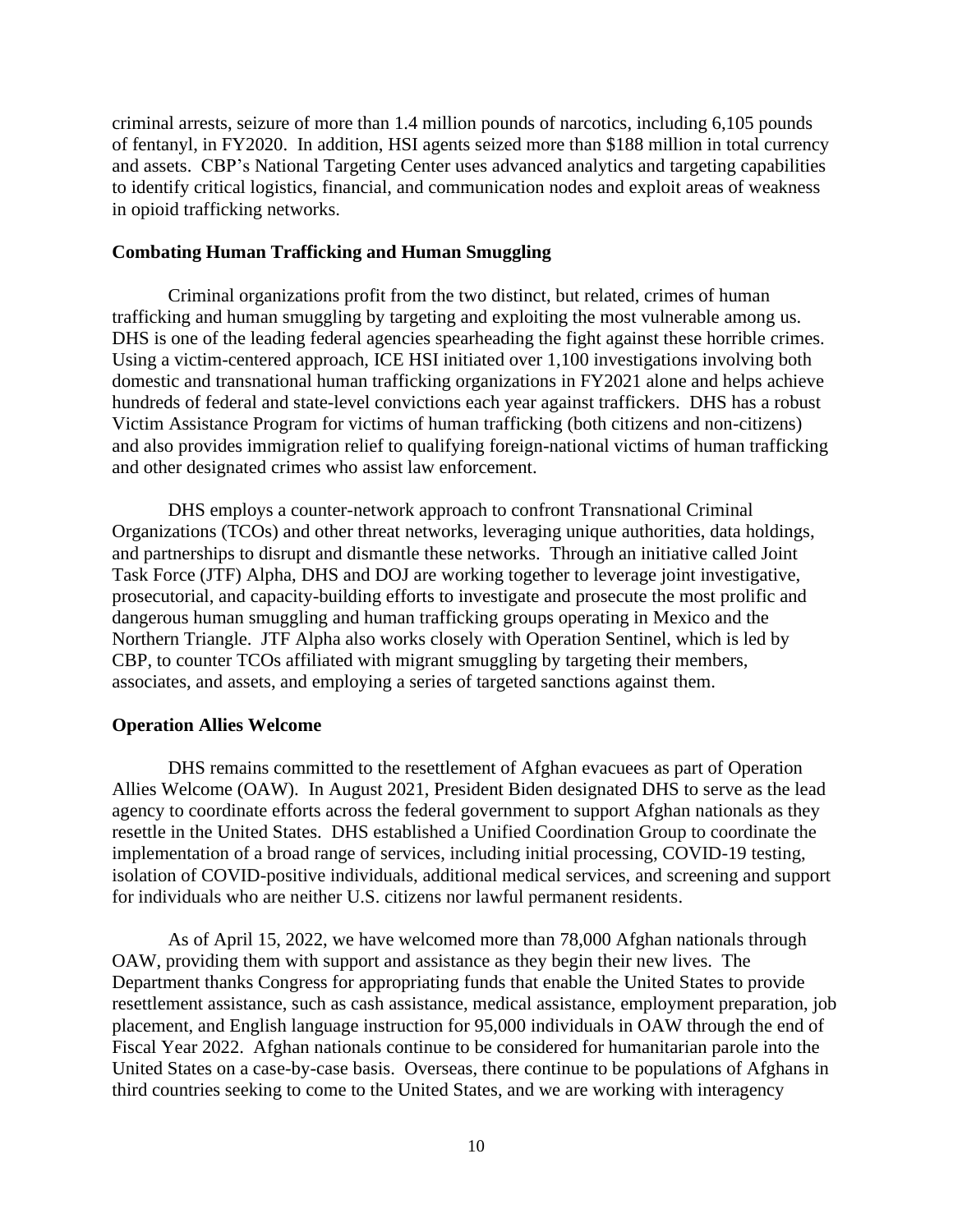criminal arrests, seizure of more than 1.4 million pounds of narcotics, including 6,105 pounds of fentanyl, in FY2020. In addition, HSI agents seized more than \$188 million in total currency and assets. CBP's National Targeting Center uses advanced analytics and targeting capabilities to identify critical logistics, financial, and communication nodes and exploit areas of weakness in opioid trafficking networks.

## **Combating Human Trafficking and Human Smuggling**

Criminal organizations profit from the two distinct, but related, crimes of human trafficking and human smuggling by targeting and exploiting the most vulnerable among us. DHS is one of the leading federal agencies spearheading the fight against these horrible crimes. Using a victim-centered approach, ICE HSI initiated over 1,100 investigations involving both domestic and transnational human trafficking organizations in FY2021 alone and helps achieve hundreds of federal and state-level convictions each year against traffickers. DHS has a robust Victim Assistance Program for victims of human trafficking (both citizens and non-citizens) and also provides immigration relief to qualifying foreign-national victims of human trafficking and other designated crimes who assist law enforcement.

DHS employs a counter-network approach to confront Transnational Criminal Organizations (TCOs) and other threat networks, leveraging unique authorities, data holdings, and partnerships to disrupt and dismantle these networks. Through an initiative called Joint Task Force (JTF) Alpha, DHS and DOJ are working together to leverage joint investigative, prosecutorial, and capacity-building efforts to investigate and prosecute the most prolific and dangerous human smuggling and human trafficking groups operating in Mexico and the Northern Triangle. JTF Alpha also works closely with Operation Sentinel, which is led by CBP, to counter TCOs affiliated with migrant smuggling by targeting their members, associates, and assets, and employing a series of targeted sanctions against them.

## **Operation Allies Welcome**

DHS remains committed to the resettlement of Afghan evacuees as part of Operation Allies Welcome (OAW). In August 2021, President Biden designated DHS to serve as the lead agency to coordinate efforts across the federal government to support Afghan nationals as they resettle in the United States. DHS established a Unified Coordination Group to coordinate the implementation of a broad range of services, including initial processing, COVID-19 testing, isolation of COVID-positive individuals, additional medical services, and screening and support for individuals who are neither U.S. citizens nor lawful permanent residents.

As of April 15, 2022, we have welcomed more than 78,000 Afghan nationals through OAW, providing them with support and assistance as they begin their new lives. The Department thanks Congress for appropriating funds that enable the United States to provide resettlement assistance, such as cash assistance, medical assistance, employment preparation, job placement, and English language instruction for 95,000 individuals in OAW through the end of Fiscal Year 2022. Afghan nationals continue to be considered for humanitarian parole into the United States on a case-by-case basis. Overseas, there continue to be populations of Afghans in third countries seeking to come to the United States, and we are working with interagency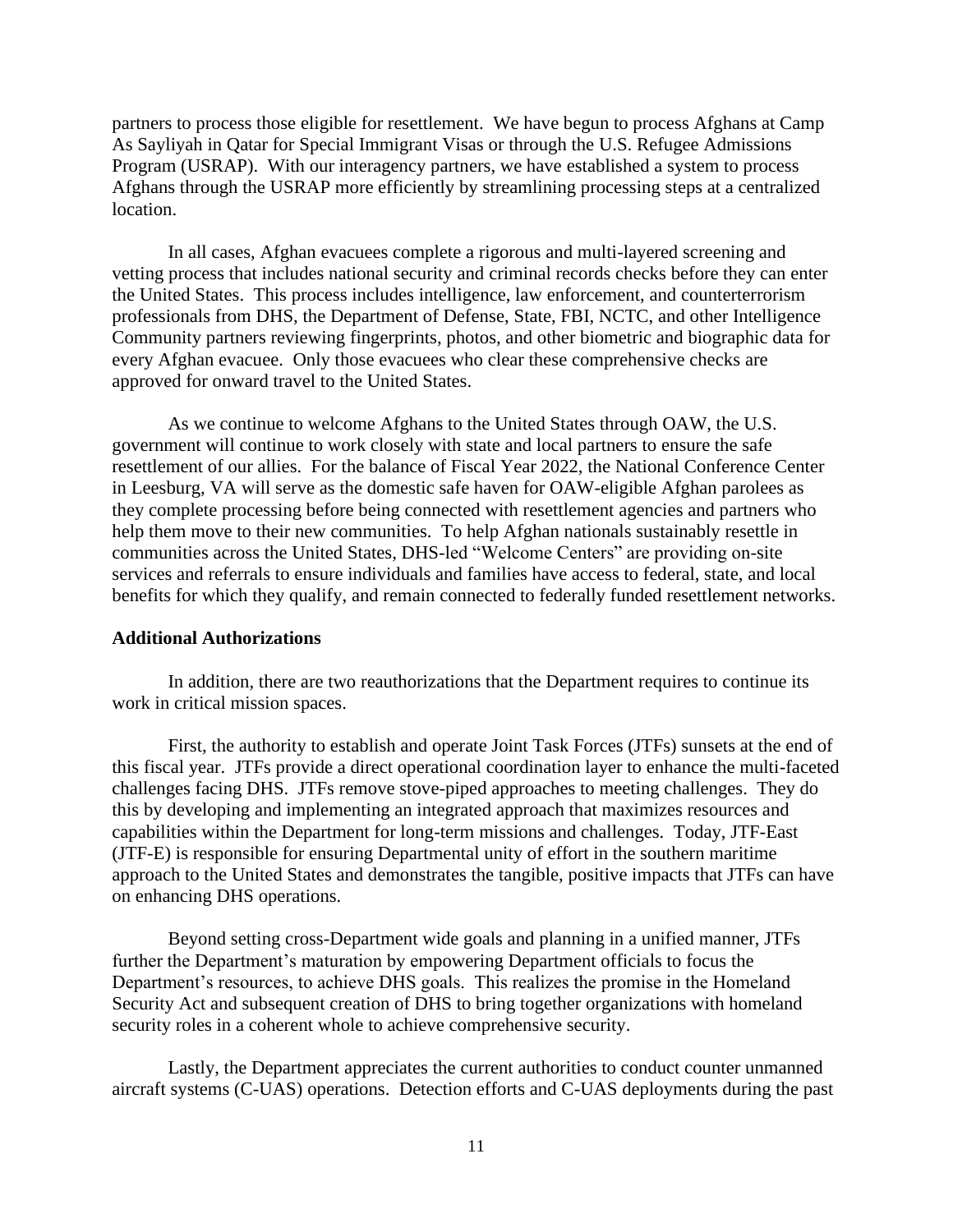partners to process those eligible for resettlement. We have begun to process Afghans at Camp As Sayliyah in Qatar for Special Immigrant Visas or through the U.S. Refugee Admissions Program (USRAP). With our interagency partners, we have established a system to process Afghans through the USRAP more efficiently by streamlining processing steps at a centralized location.

In all cases, Afghan evacuees complete a rigorous and multi-layered screening and vetting process that includes national security and criminal records checks before they can enter the United States. This process includes intelligence, law enforcement, and counterterrorism professionals from DHS, the Department of Defense, State, FBI, NCTC, and other Intelligence Community partners reviewing fingerprints, photos, and other biometric and biographic data for every Afghan evacuee. Only those evacuees who clear these comprehensive checks are approved for onward travel to the United States.

As we continue to welcome Afghans to the United States through OAW, the U.S. government will continue to work closely with state and local partners to ensure the safe resettlement of our allies. For the balance of Fiscal Year 2022, the National Conference Center in Leesburg, VA will serve as the domestic safe haven for OAW-eligible Afghan parolees as they complete processing before being connected with resettlement agencies and partners who help them move to their new communities. To help Afghan nationals sustainably resettle in communities across the United States, DHS-led "Welcome Centers" are providing on-site services and referrals to ensure individuals and families have access to federal, state, and local benefits for which they qualify, and remain connected to federally funded resettlement networks.

### **Additional Authorizations**

In addition, there are two reauthorizations that the Department requires to continue its work in critical mission spaces.

First, the authority to establish and operate Joint Task Forces (JTFs) sunsets at the end of this fiscal year. JTFs provide a direct operational coordination layer to enhance the multi-faceted challenges facing DHS. JTFs remove stove-piped approaches to meeting challenges. They do this by developing and implementing an integrated approach that maximizes resources and capabilities within the Department for long-term missions and challenges. Today, JTF-East (JTF-E) is responsible for ensuring Departmental unity of effort in the southern maritime approach to the United States and demonstrates the tangible, positive impacts that JTFs can have on enhancing DHS operations.

Beyond setting cross-Department wide goals and planning in a unified manner, JTFs further the Department's maturation by empowering Department officials to focus the Department's resources, to achieve DHS goals. This realizes the promise in the Homeland Security Act and subsequent creation of DHS to bring together organizations with homeland security roles in a coherent whole to achieve comprehensive security.

Lastly, the Department appreciates the current authorities to conduct counter unmanned aircraft systems (C-UAS) operations. Detection efforts and C-UAS deployments during the past